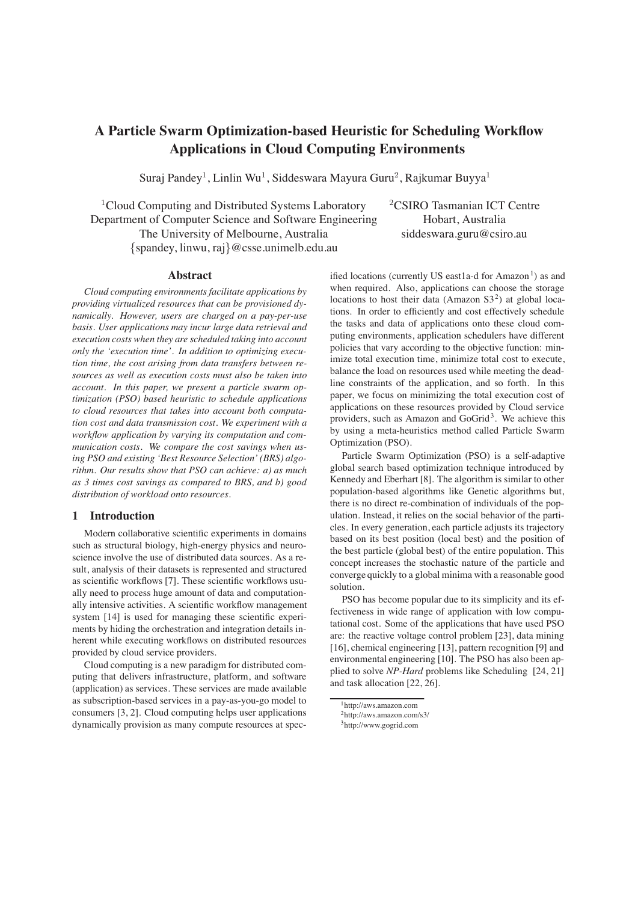# **A Particle Swarm Optimization-based Heuristic for Scheduling Workflow Applications in Cloud Computing Environments**

Suraj Pandey<sup>1</sup>, Linlin Wu<sup>1</sup>, Siddeswara Mayura Guru<sup>2</sup>, Rajkumar Buyya<sup>1</sup>

<sup>1</sup>Cloud Computing and Distributed Systems Laboratory  $2$ CSIRO Tasmanian ICT Centre Department of Computer Science and Software Engineering Hobart, Australia The University of Melbourne, Australia siddeswara.guru@csiro.au {spandey, linwu, raj}@csse.unimelb.edu.au

# **Abstract**

*Cloud computing environments facilitate applications by providing virtualized resources that can be provisioned dynamically. However, users are charged on a pay-per-use basis. User applications may incur large data retrieval and execution costs when they are scheduled taking into account only the 'execution time'. In addition to optimizing execution time, the cost arising from data transfers between resources as well as execution costs must also be taken into account. In this paper, we present a particle swarm optimization (PSO) based heuristic to schedule applications to cloud resources that takes into account both computation cost and data transmission cost. We experiment with a workflow application by varying its computation and communication costs. We compare the cost savings when using PSO and existing 'Best Resource Selection' (BRS) algorithm. Our results show that PSO can achieve: a) as much as 3 times cost savings as compared to BRS, and b) good distribution of workload onto resources.*

# **1 Introduction**

Modern collaborative scientific experiments in domains such as structural biology, high-energy physics and neuroscience involve the use of distributed data sources. As a result, analysis of their datasets is represented and structured as scientific workflows [7]. These scientific workflows usually need to process huge amount of data and computationally intensive activities. A scientific workflow management system [14] is used for managing these scientific experiments by hiding the orchestration and integration details inherent while executing workflows on distributed resources provided by cloud service providers.

Cloud computing is a new paradigm for distributed computing that delivers infrastructure, platform, and software (application) as services. These services are made available as subscription-based services in a pay-as-you-go model to consumers [3, 2]. Cloud computing helps user applications dynamically provision as many compute resources at specified locations (currently US east1a-d for Amazon<sup>1</sup>) as and when required. Also, applications can choose the storage locations to host their data (Amazon  $S3<sup>2</sup>$ ) at global locations. In order to efficiently and cost effectively schedule the tasks and data of applications onto these cloud computing environments, application schedulers have different policies that vary according to the objective function: minimize total execution time, minimize total cost to execute, balance the load on resources used while meeting the deadline constraints of the application, and so forth. In this paper, we focus on minimizing the total execution cost of applications on these resources provided by Cloud service providers, such as Amazon and GoGrid<sup>3</sup>. We achieve this by using a meta-heuristics method called Particle Swarm Optimization (PSO).

Particle Swarm Optimization (PSO) is a self-adaptive global search based optimization technique introduced by Kennedy and Eberhart [8]. The algorithm is similar to other population-based algorithms like Genetic algorithms but, there is no direct re-combination of individuals of the population. Instead, it relies on the social behavior of the particles. In every generation, each particle adjusts its trajectory based on its best position (local best) and the position of the best particle (global best) of the entire population. This concept increases the stochastic nature of the particle and converge quickly to a global minima with a reasonable good solution.

PSO has become popular due to its simplicity and its effectiveness in wide range of application with low computational cost. Some of the applications that have used PSO are: the reactive voltage control problem [23], data mining [16], chemical engineering [13], pattern recognition [9] and environmental engineering [10]. The PSO has also been applied to solve *NP-Hard* problems like Scheduling [24, 21] and task allocation [22, 26].

<sup>1</sup>http://aws.amazon.com

<sup>2</sup>http://aws.amazon.com/s3/

<sup>3</sup>http://www.gogrid.com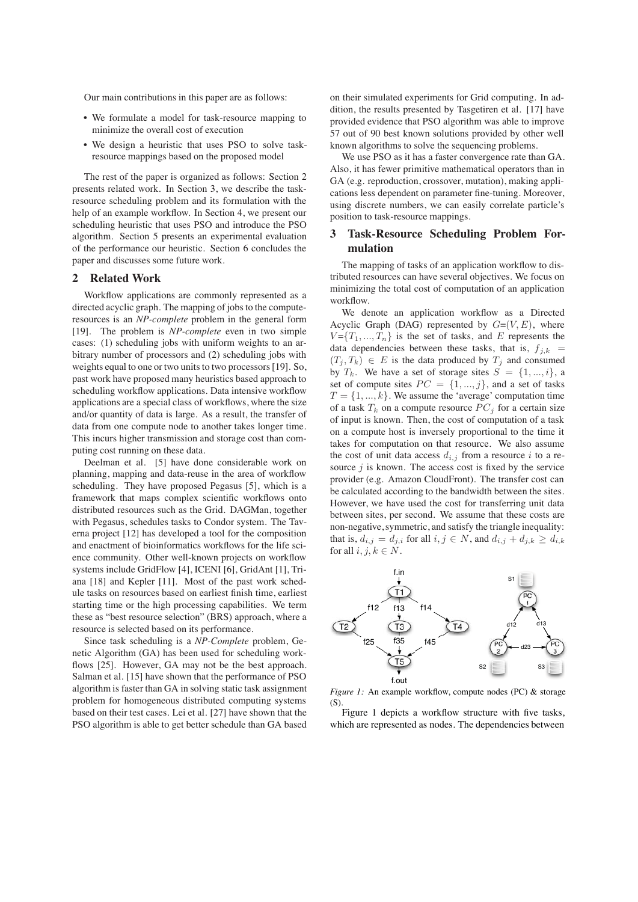Our main contributions in this paper are as follows:

- We formulate a model for task-resource mapping to minimize the overall cost of execution
- We design a heuristic that uses PSO to solve taskresource mappings based on the proposed model

The rest of the paper is organized as follows: Section 2 presents related work. In Section 3, we describe the taskresource scheduling problem and its formulation with the help of an example workflow. In Section 4, we present our scheduling heuristic that uses PSO and introduce the PSO algorithm. Section 5 presents an experimental evaluation of the performance our heuristic. Section 6 concludes the paper and discusses some future work.

# **2 Related Work**

Workflow applications are commonly represented as a directed acyclic graph. The mapping of jobs to the computeresources is an *NP-complete* problem in the general form [19]. The problem is *NP-complete* even in two simple cases: (1) scheduling jobs with uniform weights to an arbitrary number of processors and (2) scheduling jobs with weights equal to one or two units to two processors [19]. So, past work have proposed many heuristics based approach to scheduling workflow applications. Data intensive workflow applications are a special class of workflows, where the size and/or quantity of data is large. As a result, the transfer of data from one compute node to another takes longer time. This incurs higher transmission and storage cost than computing cost running on these data.

Deelman et al. [5] have done considerable work on planning, mapping and data-reuse in the area of workflow scheduling. They have proposed Pegasus [5], which is a framework that maps complex scientific workflows onto distributed resources such as the Grid. DAGMan, together with Pegasus, schedules tasks to Condor system. The Taverna project [12] has developed a tool for the composition and enactment of bioinformatics workflows for the life science community. Other well-known projects on workflow systems include GridFlow [4], ICENI [6], GridAnt [1], Triana [18] and Kepler [11]. Most of the past work schedule tasks on resources based on earliest finish time, earliest starting time or the high processing capabilities. We term these as "best resource selection" (BRS) approach, where a resource is selected based on its performance.

Since task scheduling is a *NP-Complete* problem, Genetic Algorithm (GA) has been used for scheduling workflows [25]. However, GA may not be the best approach. Salman et al. [15] have shown that the performance of PSO algorithm is faster than GA in solving static task assignment problem for homogeneous distributed computing systems based on their test cases. Lei et al. [27] have shown that the PSO algorithm is able to get better schedule than GA based on their simulated experiments for Grid computing. In addition, the results presented by Tasgetiren et al. [17] have provided evidence that PSO algorithm was able to improve 57 out of 90 best known solutions provided by other well known algorithms to solve the sequencing problems.

We use PSO as it has a faster convergence rate than GA. Also, it has fewer primitive mathematical operators than in GA (e.g. reproduction, crossover, mutation), making applications less dependent on parameter fine-tuning. Moreover, using discrete numbers, we can easily correlate particle's position to task-resource mappings.

# **3 Task-Resource Scheduling Problem Formulation**

The mapping of tasks of an application workflow to distributed resources can have several objectives. We focus on minimizing the total cost of computation of an application workflow.

We denote an application workflow as a Directed Acyclic Graph (DAG) represented by  $G=(V,E)$ , where  $V = \{T_1, ..., T_n\}$  is the set of tasks, and E represents the data dependencies between these tasks, that is,  $f_{i,k}$  =  $(T_i, T_k) \in E$  is the data produced by  $T_i$  and consumed by  $T_k$ . We have a set of storage sites  $S = \{1, ..., i\}$ , a set of compute sites  $PC = \{1, ..., j\}$ , and a set of tasks  $T = \{1, ..., k\}$ . We assume the 'average' computation time of a task  $T_k$  on a compute resource  $PC_i$  for a certain size of input is known. Then, the cost of computation of a task on a compute host is inversely proportional to the time it takes for computation on that resource. We also assume the cost of unit data access  $d_{i,j}$  from a resource i to a resource  $j$  is known. The access cost is fixed by the service provider (e.g. Amazon CloudFront). The transfer cost can be calculated according to the bandwidth between the sites. However, we have used the cost for transferring unit data between sites, per second. We assume that these costs are non-negative, symmetric, and satisfy the triangle inequality: that is,  $d_{i,j} = d_{j,i}$  for all  $i, j \in N$ , and  $d_{i,j} + d_{j,k} \geq d_{i,k}$ for all  $i, j, k \in N$ .



*Figure 1:* An example workflow, compute nodes (PC) & storage (S).

Figure 1 depicts a workflow structure with five tasks, which are represented as nodes. The dependencies between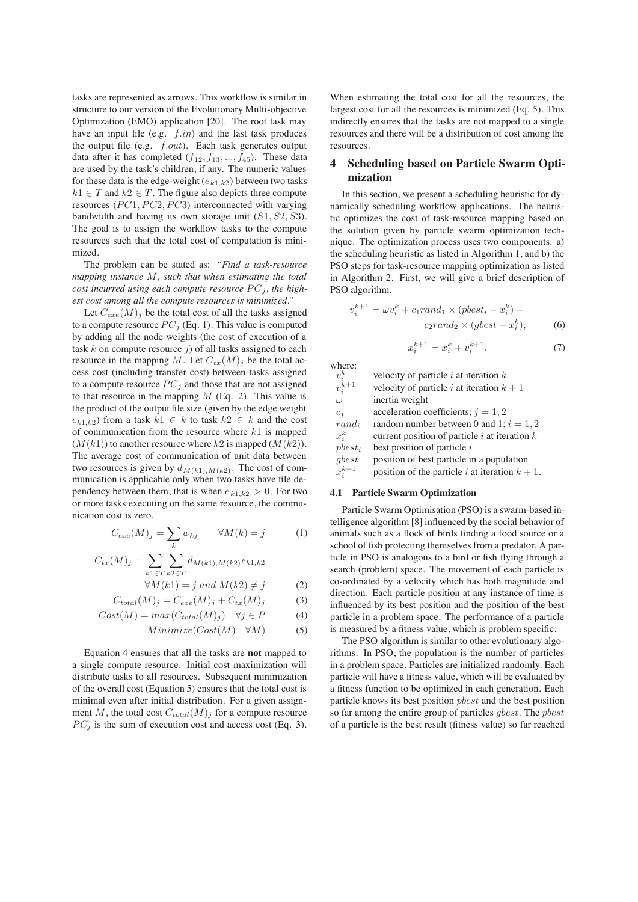tasks are represented as arrows. This workflow is similar in structure to our version of the Evolutionary Multi-objective Optimization (EMO) application [20]. The root task may have an input file (e.g.  $f.in$ ) and the last task produces the output file (e.g.  $f.out$ ). Each task generates output data after it has completed  $(f_{12}, f_{13}, ..., f_{45})$ . These data are used by the task's children, if any. The numeric values for these data is the edge-weight  $(e_{k1,k2})$  between two tasks  $k1 \in T$  and  $k2 \in T$ . The figure also depicts three compute resources  $(PC1, PC2, PC3)$  interconnected with varying bandwidth and having its own storage unit  $(S1, S2, S3)$ . The goal is to assign the workflow tasks to the compute resources such that the total cost of computation is minimized.

The problem can be stated as: *"Find a task-resource mapping instance* M*, such that when estimating the total cost incurred using each compute resource*  $PC_j$ *, the highest cost among all the compute resources is minimized."*

Let  $C_{ere}(M)$  be the total cost of all the tasks assigned to a compute resource  $PC_j$  (Eq. 1). This value is computed by adding all the node weights (the cost of execution of a task  $k$  on compute resource  $j$ ) of all tasks assigned to each resource in the mapping M. Let  $C_{tx}(M)$  be the total access cost (including transfer cost) between tasks assigned to a compute resource  $PC<sub>j</sub>$  and those that are not assigned to that resource in the mapping  $M$  (Eq. 2). This value is the product of the output file size (given by the edge weight  $e_{k1,k2}$ ) from a task  $k1 \in k$  to task  $k2 \in k$  and the cost of communication from the resource where  $k1$  is mapped  $(M(k1))$  to another resource where k2 is mapped  $(M(k2))$ . The average cost of communication of unit data between two resources is given by  $d_{M(k1),M(k2)}$ . The cost of communication is applicable only when two tasks have file dependency between them, that is when  $e_{k1,k2} > 0$ . For two or more tasks executing on the same resource, the communication cost is zero.

$$
C_{exe}(M)_j = \sum_k w_{kj} \qquad \forall M(k) = j \tag{1}
$$

$$
C_{tx}(M)_j = \sum_{k1 \in T} \sum_{k2 \in T} d_{M(k1),M(k2)} e_{k1,k2}
$$

$$
\forall M(k1) = j \text{ and } M(k2) \neq j \tag{2}
$$

$$
C_{total}(M)_j = C_{exe}(M)_j + C_{tx}(M)_j \tag{3}
$$

$$
Cost(M) = max(C_{total}(M)_j) \quad \forall j \in P \tag{4}
$$

$$
Minimize(Cost(M) \quad \forall M)
$$
 (5)

Equation 4 ensures that all the tasks are **not** mapped to a single compute resource. Initial cost maximization will distribute tasks to all resources. Subsequent minimization of the overall cost (Equation 5) ensures that the total cost is minimal even after initial distribution. For a given assignment M, the total cost  $C_{total}(M)$  for a compute resource  $PC_j$  is the sum of execution cost and access cost (Eq. 3).

When estimating the total cost for all the resources, the largest cost for all the resources is minimized (Eq. 5). This indirectly ensures that the tasks are not mapped to a single resources and there will be a distribution of cost among the resources.

# **4 Scheduling based on Particle Swarm Optimization**

In this section, we present a scheduling heuristic for dynamically scheduling workflow applications. The heuristic optimizes the cost of task-resource mapping based on the solution given by particle swarm optimization technique. The optimization process uses two components: a) the scheduling heuristic as listed in Algorithm 1, and b) the PSO steps for task-resource mapping optimization as listed in Algorithm 2. First, we will give a brief description of PSO algorithm.

$$
v_i^{k+1} = \omega v_i^k + c_1 rand_1 \times (pbest_i - x_i^k) +
$$
  

$$
c_2 rand_2 \times (gbest - x_i^k),
$$
 (6)

$$
x_i^{k+1} = x_i^k + v_i^{k+1},
$$
\n(7)

where:

 $v_i^k$ velocity of particle  $i$  at iteration  $k$  $v_i^{k+1}$  $v_i^{k+1}$  velocity of particle *i* at iteration  $k + 1$ <br> $\omega$  inertia weight inertia weight  $c_j$  acceleration coefficients;  $j = 1, 2$ rand<sub>i</sub> random number between 0 and 1;  $i = 1, 2$  $x_i^k$  $x_i^k$  current position of particle *i* at iteration *k*<br>phest<sub>i</sub> best position of particle *i* best position of particle  $i$ gbest position of best particle in a population  $x_i^{k+1}$ position of the particle i at iteration  $k + 1$ .

# **4.1 Particle Swarm Optimization**

Particle Swarm Optimisation (PSO) is a swarm-based intelligence algorithm [8] influenced by the social behavior of animals such as a flock of birds finding a food source or a school of fish protecting themselves from a predator. A particle in PSO is analogous to a bird or fish flying through a search (problem) space. The movement of each particle is co-ordinated by a velocity which has both magnitude and direction. Each particle position at any instance of time is influenced by its best position and the position of the best particle in a problem space. The performance of a particle is measured by a fitness value, which is problem specific.

The PSO algorithm is similar to other evolutionary algorithms. In PSO, the population is the number of particles in a problem space. Particles are initialized randomly. Each particle will have a fitness value, which will be evaluated by a fitness function to be optimized in each generation. Each particle knows its best position pbest and the best position so far among the entire group of particles gbest. The pbest of a particle is the best result (fitness value) so far reached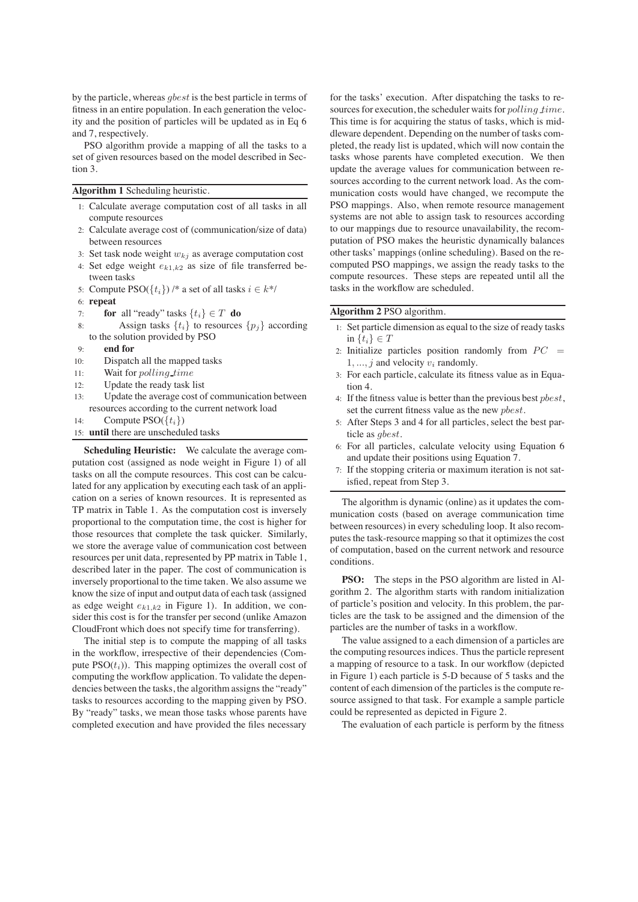by the particle, whereas gbest is the best particle in terms of fitness in an entire population. In each generation the velocity and the position of particles will be updated as in Eq 6 and 7, respectively.

PSO algorithm provide a mapping of all the tasks to a set of given resources based on the model described in Section 3.

#### **Algorithm 1** Scheduling heuristic.

- 1: Calculate average computation cost of all tasks in all compute resources
- 2: Calculate average cost of (communication/size of data) between resources
- 3: Set task node weight  $w_{kj}$  as average computation cost
- 4: Set edge weight  $e_{k1,k2}$  as size of file transferred between tasks
- 5: Compute PSO( $\{t_i\}$ ) /\* a set of all tasks  $i \in k^*$ /
- 6: **repeat**
- 7: **for** all "ready" tasks  $\{t_i\} \in T$  **do**<br>8: **Assign tasks**  $\{t_i\}$  to resources
- Assign tasks  $\{t_i\}$  to resources  $\{p_i\}$  according to the solution provided by PSO
- 9: **end for**
- 10: Dispatch all the mapped tasks
- 11: Wait for polling time
- 12: Update the ready task list
- 13: Update the average cost of communication between resources according to the current network load
- 14: Compute  $PSO({t_i})$
- 15: **until** there are unscheduled tasks

**Scheduling Heuristic:** We calculate the average computation cost (assigned as node weight in Figure 1) of all tasks on all the compute resources. This cost can be calculated for any application by executing each task of an application on a series of known resources. It is represented as TP matrix in Table 1. As the computation cost is inversely proportional to the computation time, the cost is higher for those resources that complete the task quicker. Similarly, we store the average value of communication cost between resources per unit data, represented by PP matrix in Table 1, described later in the paper. The cost of communication is inversely proportional to the time taken. We also assume we know the size of input and output data of each task (assigned as edge weight  $e_{k1,k2}$  in Figure 1). In addition, we consider this cost is for the transfer per second (unlike Amazon CloudFront which does not specify time for transferring).

The initial step is to compute the mapping of all tasks in the workflow, irrespective of their dependencies (Compute  $PSO(t_i)$ ). This mapping optimizes the overall cost of computing the workflow application. To validate the dependencies between the tasks, the algorithm assigns the "ready" tasks to resources according to the mapping given by PSO. By "ready" tasks, we mean those tasks whose parents have completed execution and have provided the files necessary

for the tasks' execution. After dispatching the tasks to resources for execution, the scheduler waits for polling time. This time is for acquiring the status of tasks, which is middleware dependent. Depending on the number of tasks completed, the ready list is updated, which will now contain the tasks whose parents have completed execution. We then update the average values for communication between resources according to the current network load. As the communication costs would have changed, we recompute the PSO mappings. Also, when remote resource management systems are not able to assign task to resources according to our mappings due to resource unavailability, the recomputation of PSO makes the heuristic dynamically balances other tasks' mappings (online scheduling). Based on the recomputed PSO mappings, we assign the ready tasks to the compute resources. These steps are repeated until all the tasks in the workflow are scheduled.

# **Algorithm 2** PSO algorithm.

- 1: Set particle dimension as equal to the size of ready tasks in  $\{t_i\} \in T$
- 2: Initialize particles position randomly from  $PC =$  $1, \ldots, j$  and velocity  $v_i$  randomly.
- 3: For each particle, calculate its fitness value as in Equation 4.
- 4: If the fitness value is better than the previous best pbest, set the current fitness value as the new pbest.
- 5: After Steps 3 and 4 for all particles, select the best particle as gbest.
- 6: For all particles, calculate velocity using Equation 6 and update their positions using Equation 7.
- 7: If the stopping criteria or maximum iteration is not satisfied, repeat from Step 3.

The algorithm is dynamic (online) as it updates the communication costs (based on average communication time between resources) in every scheduling loop. It also recomputes the task-resource mapping so that it optimizes the cost of computation, based on the current network and resource conditions.

**PSO:** The steps in the PSO algorithm are listed in Algorithm 2. The algorithm starts with random initialization of particle's position and velocity. In this problem, the particles are the task to be assigned and the dimension of the particles are the number of tasks in a workflow.

The value assigned to a each dimension of a particles are the computing resources indices. Thus the particle represent a mapping of resource to a task. In our workflow (depicted in Figure 1) each particle is 5-D because of 5 tasks and the content of each dimension of the particles is the compute resource assigned to that task. For example a sample particle could be represented as depicted in Figure 2.

The evaluation of each particle is perform by the fitness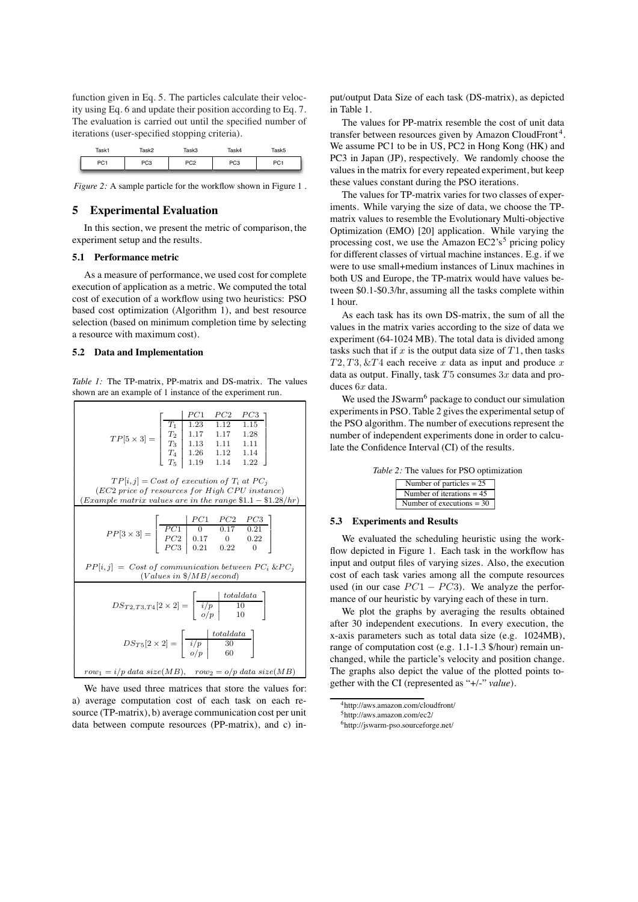function given in Eq. 5. The particles calculate their velocity using Eq. 6 and update their position according to Eq. 7. The evaluation is carried out until the specified number of iterations (user-specified stopping criteria).

| Task1       | 「っぺいつ | Task3 | ask4 | Task5 |
|-------------|-------|-------|------|-------|
| no.<br>ו ש' | ت     | PC2   | PC3  | ັບ.   |

*Figure 2:* A sample particle for the workflow shown in Figure 1.

# **5 Experimental Evaluation**

In this section, we present the metric of comparison, the experiment setup and the results.

#### **5.1 Performance metric**

As a measure of performance, we used cost for complete execution of application as a metric. We computed the total cost of execution of a workflow using two heuristics: PSO based cost optimization (Algorithm 1), and best resource selection (based on minimum completion time by selecting a resource with maximum cost).

### **5.2 Data and Implementation**

*Table 1:* The TP-matrix, PP-matrix and DS-matrix. The values shown are an example of 1 instance of the experiment run.



We have used three matrices that store the values for: a) average computation cost of each task on each resource (TP-matrix), b) average communication cost per unit data between compute resources (PP-matrix), and c) input/output Data Size of each task (DS-matrix), as depicted in Table 1.

The values for PP-matrix resemble the cost of unit data transfer between resources given by Amazon CloudFront 4. We assume PC1 to be in US, PC2 in Hong Kong (HK) and PC3 in Japan (JP), respectively. We randomly choose the values in the matrix for every repeated experiment, but keep these values constant during the PSO iterations.

The values for TP-matrix varies for two classes of experiments. While varying the size of data, we choose the TPmatrix values to resemble the Evolutionary Multi-objective Optimization (EMO) [20] application. While varying the processing cost, we use the Amazon  $EC2's<sup>5</sup>$  pricing policy for different classes of virtual machine instances. E.g. if we were to use small+medium instances of Linux machines in both US and Europe, the TP-matrix would have values between \$0.1-\$0.3/hr, assuming all the tasks complete within 1 hour.

As each task has its own DS-matrix, the sum of all the values in the matrix varies according to the size of data we experiment (64-1024 MB). The total data is divided among tasks such that if  $x$  is the output data size of  $T1$ , then tasks  $T2, T3, \& T4$  each receive x data as input and produce x data as output. Finally, task  $T5$  consumes  $3x$  data and produces  $6x$  data.

We used the JSwarm<sup>6</sup> package to conduct our simulation experiments in PSO. Table 2 gives the experimental setup of the PSO algorithm. The number of executions represent the number of independent experiments done in order to calculate the Confidence Interval (CI) of the results.

|  |  |  |  | <i>Table 2:</i> The values for PSO optimization |
|--|--|--|--|-------------------------------------------------|
|--|--|--|--|-------------------------------------------------|

| Number of particles $= 25$  |
|-----------------------------|
| Number of iterations $= 45$ |
| Number of executions $=$ 30 |
|                             |

# **5.3 Experiments and Results**

We evaluated the scheduling heuristic using the workflow depicted in Figure 1. Each task in the workflow has input and output files of varying sizes. Also, the execution cost of each task varies among all the compute resources used (in our case  $PC1 - PC3$ ). We analyze the performance of our heuristic by varying each of these in turn.

We plot the graphs by averaging the results obtained after 30 independent executions. In every execution, the x-axis parameters such as total data size (e.g. 1024MB), range of computation cost (e.g. 1.1-1.3 \$/hour) remain unchanged, while the particle's velocity and position change. The graphs also depict the value of the plotted points together with the CI (represented as "+/-" *value*).

<sup>4</sup>http://aws.amazon.com/cloudfront/

<sup>5</sup>http://aws.amazon.com/ec2/

<sup>6</sup>http://jswarm-pso.sourceforge.net/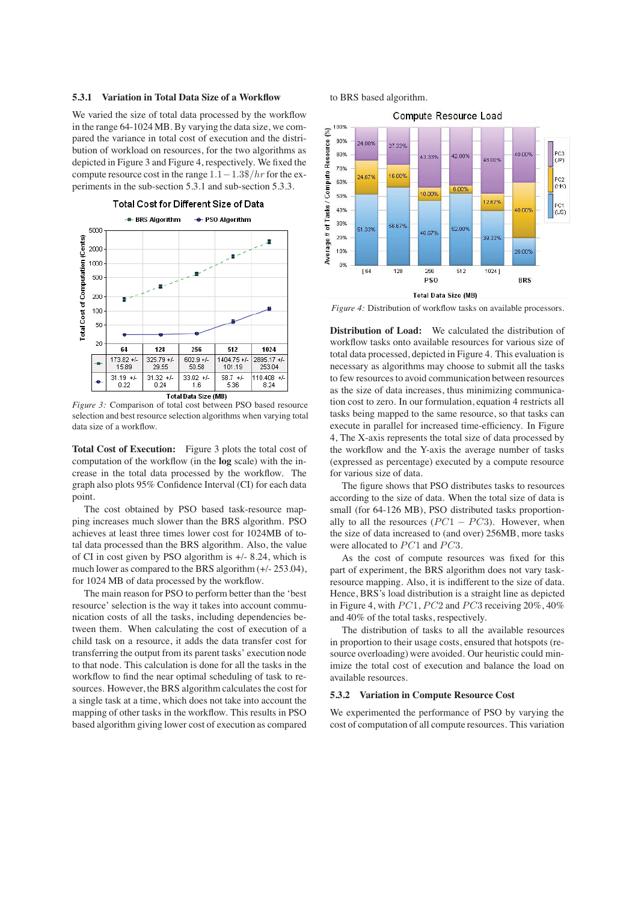### **5.3.1 Variation in Total Data Size of a Workflow**

We varied the size of total data processed by the workflow in the range 64-1024 MB. By varying the data size, we compared the variance in total cost of execution and the distribution of workload on resources, for the two algorithms as depicted in Figure 3 and Figure 4, respectively. We fixed the compute resource cost in the range  $1.1-1.3\frac{8}{hr}$  for the experiments in the sub-section 5.3.1 and sub-section 5.3.3.



*Figure 3:* Comparison of total cost between PSO based resource selection and best resource selection algorithms when varying total data size of a workflow.

**Total Cost of Execution:** Figure 3 plots the total cost of computation of the workflow (in the **log** scale) with the increase in the total data processed by the workflow. The graph also plots 95% Confidence Interval (CI) for each data point.

The cost obtained by PSO based task-resource mapping increases much slower than the BRS algorithm. PSO achieves at least three times lower cost for 1024MB of total data processed than the BRS algorithm. Also, the value of CI in cost given by PSO algorithm is +/- 8.24, which is much lower as compared to the BRS algorithm (+/- 253.04), for 1024 MB of data processed by the workflow.

The main reason for PSO to perform better than the 'best resource' selection is the way it takes into account communication costs of all the tasks, including dependencies between them. When calculating the cost of execution of a child task on a resource, it adds the data transfer cost for transferring the output from its parent tasks' execution node to that node. This calculation is done for all the tasks in the workflow to find the near optimal scheduling of task to resources. However, the BRS algorithm calculates the cost for a single task at a time, which does not take into account the mapping of other tasks in the workflow. This results in PSO based algorithm giving lower cost of execution as compared to BRS based algorithm.



*Figure 4:* Distribution of workflow tasks on available processors.

**Distribution of Load:** We calculated the distribution of workflow tasks onto available resources for various size of total data processed, depicted in Figure 4. This evaluation is necessary as algorithms may choose to submit all the tasks to few resources to avoid communication between resources as the size of data increases, thus minimizing communication cost to zero. In our formulation, equation 4 restricts all tasks being mapped to the same resource, so that tasks can execute in parallel for increased time-efficiency. In Figure 4, The X-axis represents the total size of data processed by the workflow and the Y-axis the average number of tasks (expressed as percentage) executed by a compute resource for various size of data.

The figure shows that PSO distributes tasks to resources according to the size of data. When the total size of data is small (for 64-126 MB), PSO distributed tasks proportionally to all the resources  $(PC1 - PC3)$ . However, when the size of data increased to (and over) 256MB, more tasks were allocated to  $PC1$  and  $PC3$ .

As the cost of compute resources was fixed for this part of experiment, the BRS algorithm does not vary taskresource mapping. Also, it is indifferent to the size of data. Hence, BRS's load distribution is a straight line as depicted in Figure 4, with  $PC1$ ,  $PC2$  and  $PC3$  receiving  $20\%$ ,  $40\%$ and 40% of the total tasks, respectively.

The distribution of tasks to all the available resources in proportion to their usage costs, ensured that hotspots (resource overloading) were avoided. Our heuristic could minimize the total cost of execution and balance the load on available resources.

# **5.3.2 Variation in Compute Resource Cost**

We experimented the performance of PSO by varying the cost of computation of all compute resources. This variation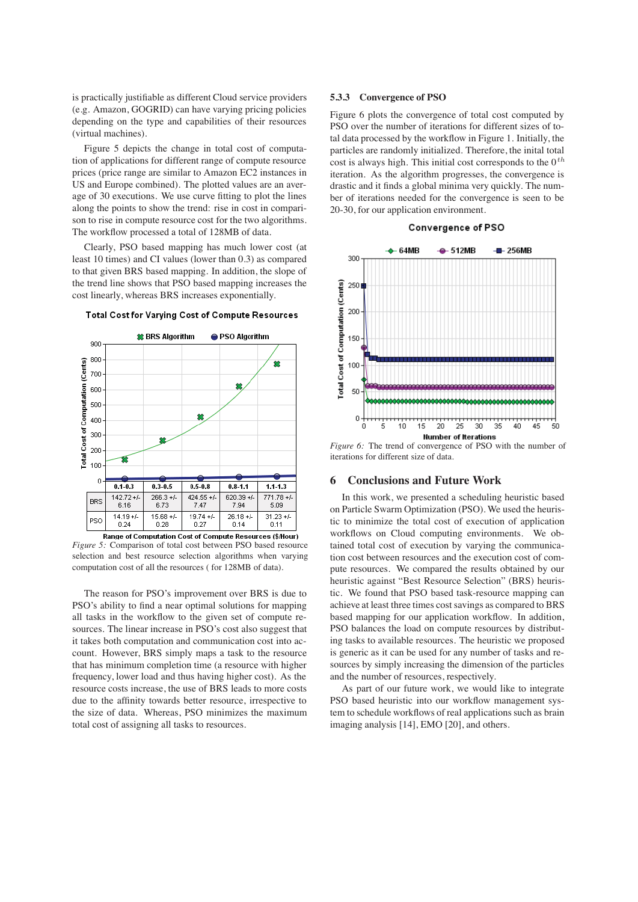is practically justifiable as different Cloud service providers (e.g. Amazon, GOGRID) can have varying pricing policies depending on the type and capabilities of their resources (virtual machines).

Figure 5 depicts the change in total cost of computation of applications for different range of compute resource prices (price range are similar to Amazon EC2 instances in US and Europe combined). The plotted values are an average of 30 executions. We use curve fitting to plot the lines along the points to show the trend: rise in cost in comparison to rise in compute resource cost for the two algorithms. The workflow processed a total of 128MB of data.

Clearly, PSO based mapping has much lower cost (at least 10 times) and CI values (lower than 0.3) as compared to that given BRS based mapping. In addition, the slope of the trend line shows that PSO based mapping increases the cost linearly, whereas BRS increases exponentially.



### Total Cost for Varying Cost of Compute Resources

*Figure 5:* Comparison of total cost between PSO based resource selection and best resource selection algorithms when varying computation cost of all the resources ( for 128MB of data).

The reason for PSO's improvement over BRS is due to PSO's ability to find a near optimal solutions for mapping all tasks in the workflow to the given set of compute resources. The linear increase in PSO's cost also suggest that it takes both computation and communication cost into account. However, BRS simply maps a task to the resource that has minimum completion time (a resource with higher frequency, lower load and thus having higher cost). As the resource costs increase, the use of BRS leads to more costs due to the affinity towards better resource, irrespective to the size of data. Whereas, PSO minimizes the maximum total cost of assigning all tasks to resources.

### **5.3.3 Convergence of PSO**

Figure 6 plots the convergence of total cost computed by PSO over the number of iterations for different sizes of total data processed by the workflow in Figure 1. Initially, the particles are randomly initialized. Therefore, the inital total cost is always high. This initial cost corresponds to the  $0^{th}$ iteration. As the algorithm progresses, the convergence is drastic and it finds a global minima very quickly. The number of iterations needed for the convergence is seen to be 20-30, for our application environment.





*Figure 6:* The trend of convergence of PSO with the number of iterations for different size of data.

### **6 Conclusions and Future Work**

In this work, we presented a scheduling heuristic based on Particle Swarm Optimization (PSO). We used the heuristic to minimize the total cost of execution of application workflows on Cloud computing environments. We obtained total cost of execution by varying the communication cost between resources and the execution cost of compute resources. We compared the results obtained by our heuristic against "Best Resource Selection" (BRS) heuristic. We found that PSO based task-resource mapping can achieve at least three times cost savings as compared to BRS based mapping for our application workflow. In addition, PSO balances the load on compute resources by distributing tasks to available resources. The heuristic we proposed is generic as it can be used for any number of tasks and resources by simply increasing the dimension of the particles and the number of resources, respectively.

As part of our future work, we would like to integrate PSO based heuristic into our workflow management system to schedule workflows of real applications such as brain imaging analysis [14], EMO [20], and others.